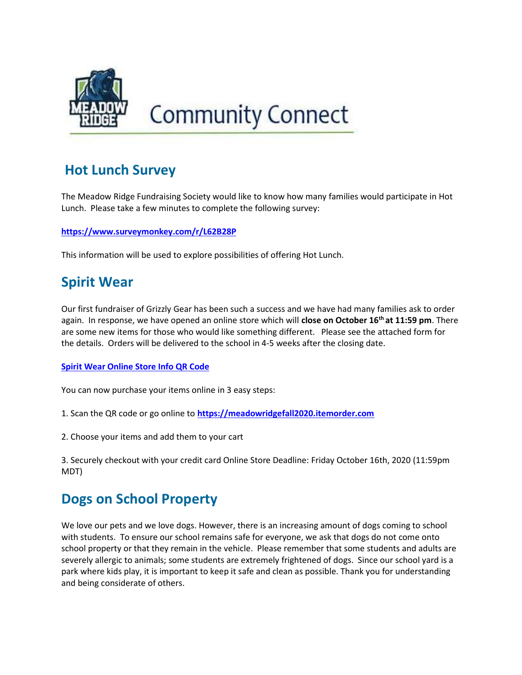

# **Community Connect**

### Hot Lunch Survey

The Meadow Ridge Fundraising Society would like to know how many families would participate in Hot Lunch. Please take a few minutes to complete the following survey:

https://www.surveymonkey.com/r/L62B28P

This information will be used to explore possibilities of offering Hot Lunch.

## Spirit Wear

Our first fundraiser of Grizzly Gear has been such a success and we have had many families ask to order again. In response, we have opened an online store which will close on October 16<sup>th</sup> at 11:59 pm. There are some new items for those who would like something different. Please see the attached form for the details. Orders will be delivered to the school in 4-5 weeks after the closing date.

#### Spirit Wear Online Store Info QR Code

You can now purchase your items online in 3 easy steps:

1. Scan the QR code or go online to https://meadowridgefall2020.itemorder.com

2. Choose your items and add them to your cart

3. Securely checkout with your credit card Online Store Deadline: Friday October 16th, 2020 (11:59pm MDT)

### Dogs on School Property

We love our pets and we love dogs. However, there is an increasing amount of dogs coming to school with students. To ensure our school remains safe for everyone, we ask that dogs do not come onto school property or that they remain in the vehicle. Please remember that some students and adults are severely allergic to animals; some students are extremely frightened of dogs. Since our school yard is a park where kids play, it is important to keep it safe and clean as possible. Thank you for understanding and being considerate of others.